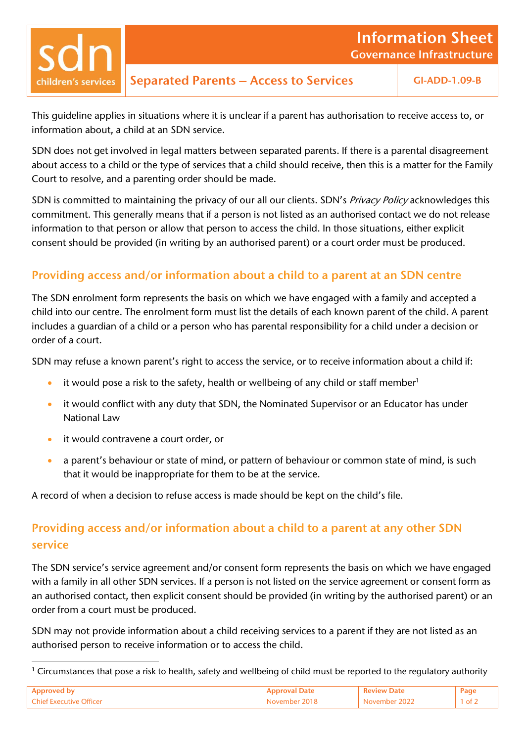children's services

Separated Parents – Access to Services GI-ADD-1.09-B

This guideline applies in situations where it is unclear if a parent has authorisation to receive access to, or information about, a child at an SDN service.

SDN does not get involved in legal matters between separated parents. If there is a parental disagreement about access to a child or the type of services that a child should receive, then this is a matter for the Family Court to resolve, and a parenting order should be made.

SDN is committed to maintaining the privacy of our all our clients. SDN's Privacy Policy acknowledges this commitment. This generally means that if a person is not listed as an authorised contact we do not release information to that person or allow that person to access the child. In those situations, either explicit consent should be provided (in writing by an authorised parent) or a court order must be produced.

## Providing access and/or information about a child to a parent at an SDN centre

The SDN enrolment form represents the basis on which we have engaged with a family and accepted a child into our centre. The enrolment form must list the details of each known parent of the child. A parent includes a guardian of a child or a person who has parental responsibility for a child under a decision or order of a court.

SDN may refuse a known parent's right to access the service, or to receive information about a child if:

- it would pose a risk to the safety, health or wellbeing of any child or staff member<sup>1</sup>
- it would conflict with any duty that SDN, the Nominated Supervisor or an Educator has under National Law
- it would contravene a court order, or

1

• a parent's behaviour or state of mind, or pattern of behaviour or common state of mind, is such that it would be inappropriate for them to be at the service.

A record of when a decision to refuse access is made should be kept on the child's file.

# Providing access and/or information about a child to a parent at any other SDN service

The SDN service's service agreement and/or consent form represents the basis on which we have engaged with a family in all other SDN services. If a person is not listed on the service agreement or consent form as an authorised contact, then explicit consent should be provided (in writing by the authorised parent) or an order from a court must be produced.

SDN may not provide information about a child receiving services to a parent if they are not listed as an authorised person to receive information or to access the child.

 $1$  Circumstances that pose a risk to health, safety and wellbeing of child must be reported to the regulatory authority

|                         |                 |                 | Pag  |
|-------------------------|-----------------|-----------------|------|
| Chief Executive Officer | 11 X<br>310mmar | <u>iovamnar</u> | - of |